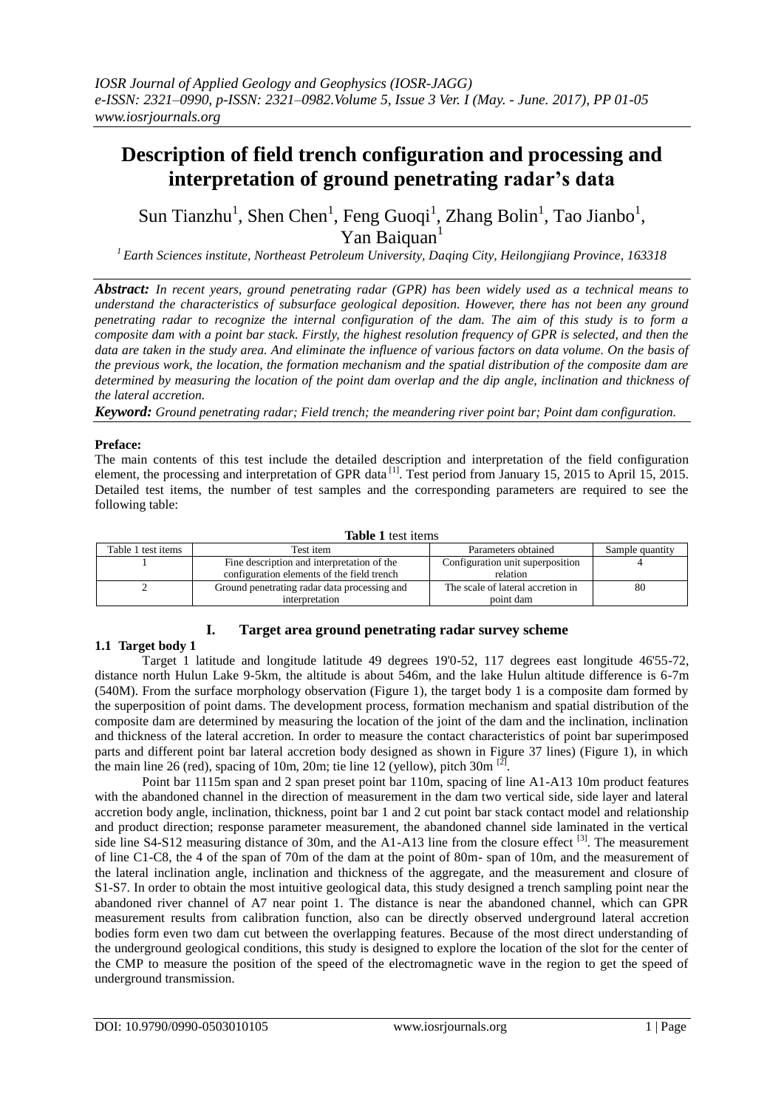# **Description of field trench configuration and processing and interpretation of ground penetrating radar's data**

Sun Tianzhu<sup>1</sup>, Shen Chen<sup>1</sup>, Feng Guoqi<sup>1</sup>, Zhang Bolin<sup>1</sup>, Tao Jianbo<sup>1</sup>, Yan Baiquan<sup>1</sup>

*<sup>1</sup>Earth Sciences institute, Northeast Petroleum University, Daqing City, Heilongjiang Province, 163318*

*Abstract: In recent years, ground penetrating radar (GPR) has been widely used as a technical means to understand the characteristics of subsurface geological deposition. However, there has not been any ground penetrating radar to recognize the internal configuration of the dam. The aim of this study is to form a composite dam with a point bar stack. Firstly, the highest resolution frequency of GPR is selected, and then the data are taken in the study area. And eliminate the influence of various factors on data volume. On the basis of the previous work, the location, the formation mechanism and the spatial distribution of the composite dam are determined by measuring the location of the point dam overlap and the dip angle, inclination and thickness of the lateral accretion.*

*Keyword: Ground penetrating radar; Field trench; the meandering river point bar; Point dam configuration.*

#### **Preface:**

The main contents of this test include the detailed description and interpretation of the field configuration element, the processing and interpretation of GPR data<sup>[1]</sup>. Test period from January 15, 2015 to April 15, 2015. Detailed test items, the number of test samples and the corresponding parameters are required to see the following table:

#### **Table 1** test items

| Table 1 test items | Test item                                    | Parameters obtained               | Sample quantity |
|--------------------|----------------------------------------------|-----------------------------------|-----------------|
|                    | Fine description and interpretation of the   | Configuration unit superposition  |                 |
|                    | configuration elements of the field trench   | relation                          |                 |
|                    | Ground penetrating radar data processing and | The scale of lateral accretion in | 80              |
|                    | interpretation                               | point dam                         |                 |

# **I. Target area ground penetrating radar survey scheme**

# **1.1 Target body 1**

Target 1 latitude and longitude latitude 49 degrees 19'0-52, 117 degrees east longitude 46'55-72, distance north Hulun Lake 9-5km, the altitude is about 546m, and the lake Hulun altitude difference is 6-7m (540M). From the surface morphology observation (Figure 1), the target body 1 is a composite dam formed by the superposition of point dams. The development process, formation mechanism and spatial distribution of the composite dam are determined by measuring the location of the joint of the dam and the inclination, inclination and thickness of the lateral accretion. In order to measure the contact characteristics of point bar superimposed parts and different point bar lateral accretion body designed as shown in Figure 37 lines) (Figure 1), in which the main line 26 (red), spacing of 10m, 20m; tie line 12 (yellow), pitch 30m  $^{[2]}$ .

Point bar 1115m span and 2 span preset point bar 110m, spacing of line A1-A13 10m product features with the abandoned channel in the direction of measurement in the dam two vertical side, side layer and lateral accretion body angle, inclination, thickness, point bar 1 and 2 cut point bar stack contact model and relationship and product direction; response parameter measurement, the abandoned channel side laminated in the vertical side line S4-S12 measuring distance of 30m, and the A1-A13 line from the closure effect <sup>[3]</sup>. The measurement of line C1-C8, the 4 of the span of 70m of the dam at the point of 80m- span of 10m, and the measurement of the lateral inclination angle, inclination and thickness of the aggregate, and the measurement and closure of S1-S7. In order to obtain the most intuitive geological data, this study designed a trench sampling point near the abandoned river channel of A7 near point 1. The distance is near the abandoned channel, which can GPR measurement results from calibration function, also can be directly observed underground lateral accretion bodies form even two dam cut between the overlapping features. Because of the most direct understanding of the underground geological conditions, this study is designed to explore the location of the slot for the center of the CMP to measure the position of the speed of the electromagnetic wave in the region to get the speed of underground transmission.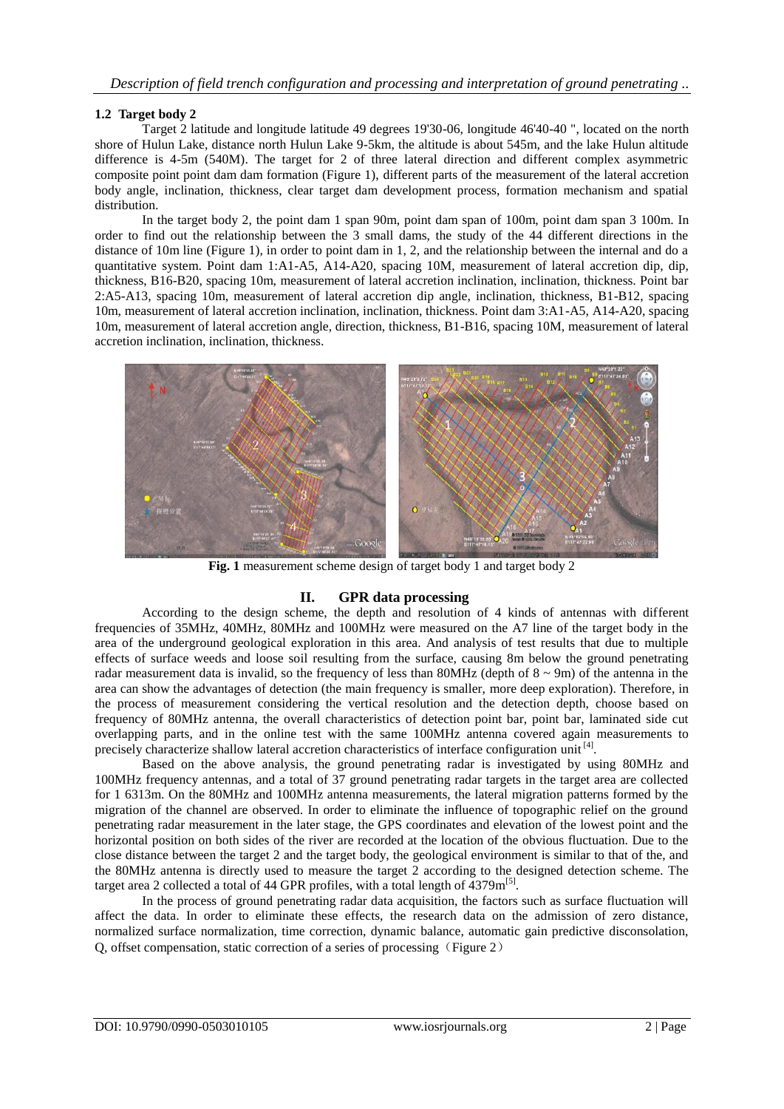### **1.2 Target body 2**

Target 2 latitude and longitude latitude 49 degrees 19'30-06, longitude 46'40-40 ", located on the north shore of Hulun Lake, distance north Hulun Lake 9-5km, the altitude is about 545m, and the lake Hulun altitude difference is 4-5m (540M). The target for 2 of three lateral direction and different complex asymmetric composite point point dam dam formation (Figure 1), different parts of the measurement of the lateral accretion body angle, inclination, thickness, clear target dam development process, formation mechanism and spatial distribution.

In the target body 2, the point dam 1 span 90m, point dam span of 100m, point dam span 3 100m. In order to find out the relationship between the 3 small dams, the study of the 44 different directions in the distance of 10m line (Figure 1), in order to point dam in 1, 2, and the relationship between the internal and do a quantitative system. Point dam 1:A1-A5, A14-A20, spacing 10M, measurement of lateral accretion dip, dip, thickness, B16-B20, spacing 10m, measurement of lateral accretion inclination, inclination, thickness. Point bar 2:A5-A13, spacing 10m, measurement of lateral accretion dip angle, inclination, thickness, B1-B12, spacing 10m, measurement of lateral accretion inclination, inclination, thickness. Point dam 3:A1-A5, A14-A20, spacing 10m, measurement of lateral accretion angle, direction, thickness, B1-B16, spacing 10M, measurement of lateral accretion inclination, inclination, thickness.



**Fig. 1** measurement scheme design of target body 1 and target body 2

# **II. GPR data processing**

According to the design scheme, the depth and resolution of 4 kinds of antennas with different frequencies of 35MHz, 40MHz, 80MHz and 100MHz were measured on the A7 line of the target body in the area of the underground geological exploration in this area. And analysis of test results that due to multiple effects of surface weeds and loose soil resulting from the surface, causing 8m below the ground penetrating radar measurement data is invalid, so the frequency of less than 80MHz (depth of  $8 \sim 9m$ ) of the antenna in the area can show the advantages of detection (the main frequency is smaller, more deep exploration). Therefore, in the process of measurement considering the vertical resolution and the detection depth, choose based on frequency of 80MHz antenna, the overall characteristics of detection point bar, point bar, laminated side cut overlapping parts, and in the online test with the same 100MHz antenna covered again measurements to precisely characterize shallow lateral accretion characteristics of interface configuration unit<sup>[4]</sup>.

Based on the above analysis, the ground penetrating radar is investigated by using 80MHz and 100MHz frequency antennas, and a total of 37 ground penetrating radar targets in the target area are collected for 1 6313m. On the 80MHz and 100MHz antenna measurements, the lateral migration patterns formed by the migration of the channel are observed. In order to eliminate the influence of topographic relief on the ground penetrating radar measurement in the later stage, the GPS coordinates and elevation of the lowest point and the horizontal position on both sides of the river are recorded at the location of the obvious fluctuation. Due to the close distance between the target 2 and the target body, the geological environment is similar to that of the, and the 80MHz antenna is directly used to measure the target 2 according to the designed detection scheme. The target area 2 collected a total of 44 GPR profiles, with a total length of  $\overline{4379} \rm{m}^{[5]}$ .

In the process of ground penetrating radar data acquisition, the factors such as surface fluctuation will affect the data. In order to eliminate these effects, the research data on the admission of zero distance, normalized surface normalization, time correction, dynamic balance, automatic gain predictive disconsolation, Q, offset compensation, static correction of a series of processing (Figure 2)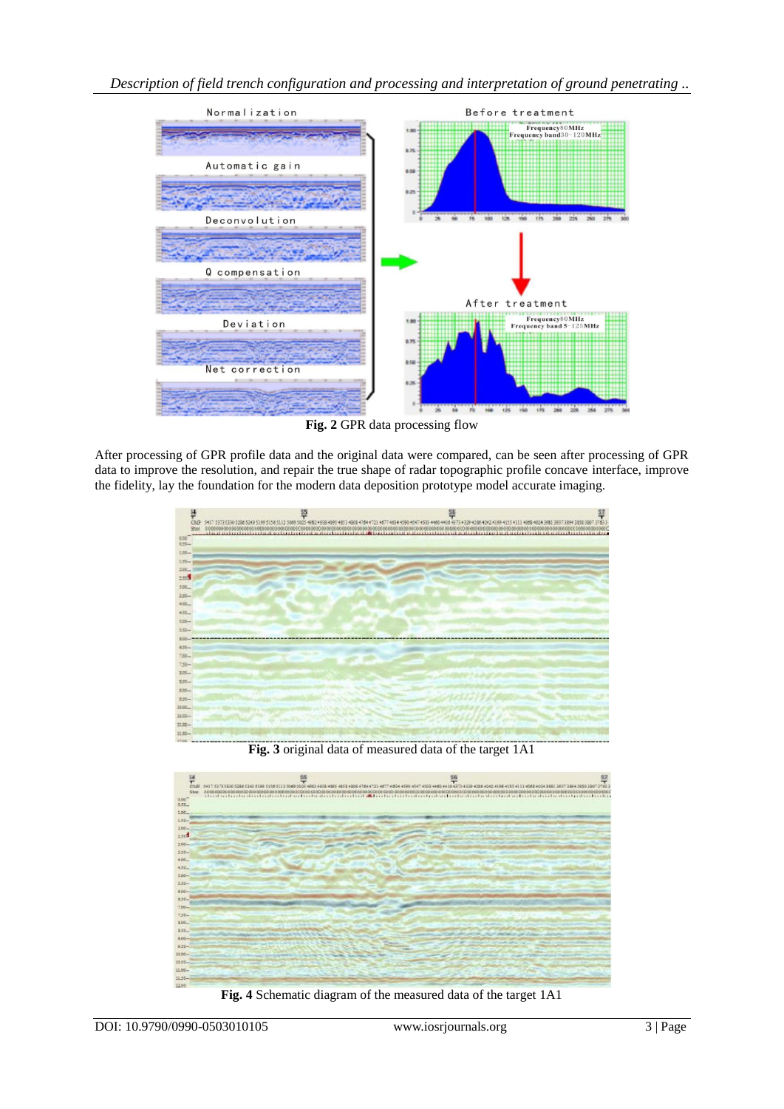

**Fig. 2** GPR data processing flow

After processing of GPR profile data and the original data were compared, can be seen after processing of GPR data to improve the resolution, and repair the true shape of radar topographic profile concave interface, improve the fidelity, lay the foundation for the modern data deposition prototype model accurate imaging.



**Fig. 3** original data of measured data of the target 1A1



**Fig. 4** Schematic diagram of the measured data of the target 1A1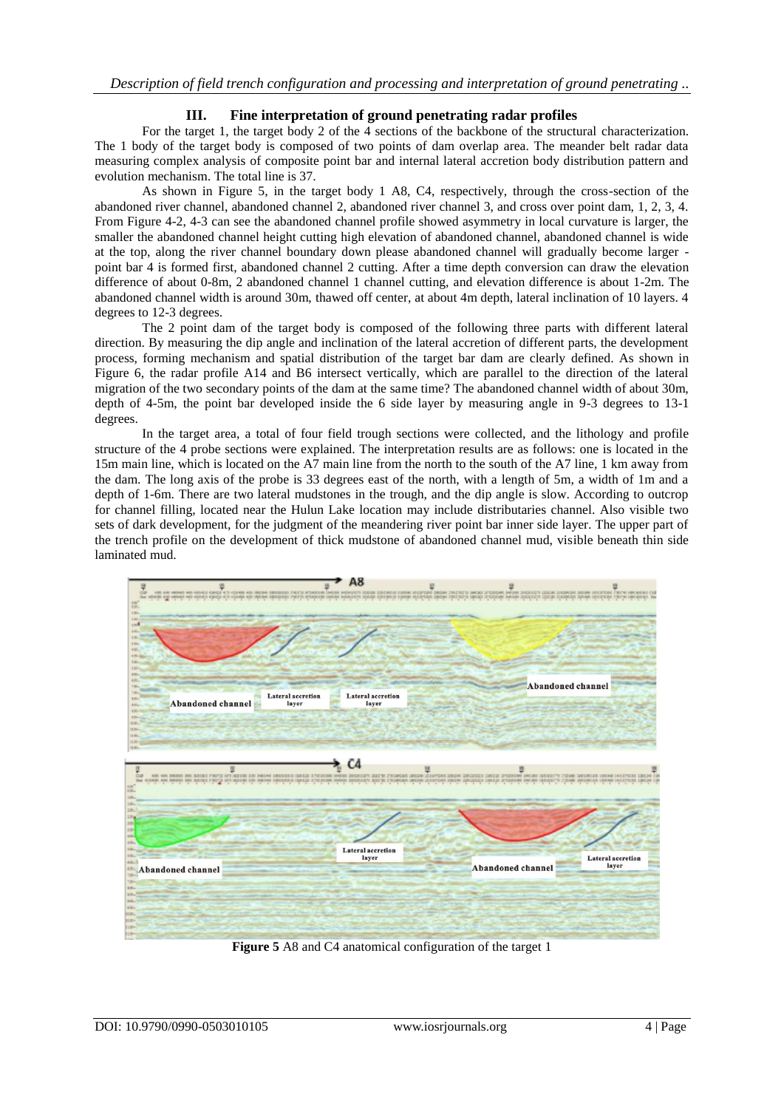### **III. Fine interpretation of ground penetrating radar profiles**

For the target 1, the target body 2 of the 4 sections of the backbone of the structural characterization. The 1 body of the target body is composed of two points of dam overlap area. The meander belt radar data measuring complex analysis of composite point bar and internal lateral accretion body distribution pattern and evolution mechanism. The total line is 37.

As shown in Figure 5, in the target body 1 A8, C4, respectively, through the cross-section of the abandoned river channel, abandoned channel 2, abandoned river channel 3, and cross over point dam, 1, 2, 3, 4. From Figure 4-2, 4-3 can see the abandoned channel profile showed asymmetry in local curvature is larger, the smaller the abandoned channel height cutting high elevation of abandoned channel, abandoned channel is wide at the top, along the river channel boundary down please abandoned channel will gradually become larger point bar 4 is formed first, abandoned channel 2 cutting. After a time depth conversion can draw the elevation difference of about 0-8m, 2 abandoned channel 1 channel cutting, and elevation difference is about 1-2m. The abandoned channel width is around 30m, thawed off center, at about 4m depth, lateral inclination of 10 layers. 4 degrees to 12-3 degrees.

The 2 point dam of the target body is composed of the following three parts with different lateral direction. By measuring the dip angle and inclination of the lateral accretion of different parts, the development process, forming mechanism and spatial distribution of the target bar dam are clearly defined. As shown in Figure 6, the radar profile A14 and B6 intersect vertically, which are parallel to the direction of the lateral migration of the two secondary points of the dam at the same time? The abandoned channel width of about 30m, depth of 4-5m, the point bar developed inside the 6 side layer by measuring angle in 9-3 degrees to 13-1 degrees.

In the target area, a total of four field trough sections were collected, and the lithology and profile structure of the 4 probe sections were explained. The interpretation results are as follows: one is located in the 15m main line, which is located on the A7 main line from the north to the south of the A7 line, 1 km away from the dam. The long axis of the probe is 33 degrees east of the north, with a length of 5m, a width of 1m and a depth of 1-6m. There are two lateral mudstones in the trough, and the dip angle is slow. According to outcrop for channel filling, located near the Hulun Lake location may include distributaries channel. Also visible two sets of dark development, for the judgment of the meandering river point bar inner side layer. The upper part of the trench profile on the development of thick mudstone of abandoned channel mud, visible beneath thin side laminated mud.



**Figure 5** A8 and C4 anatomical configuration of the target 1